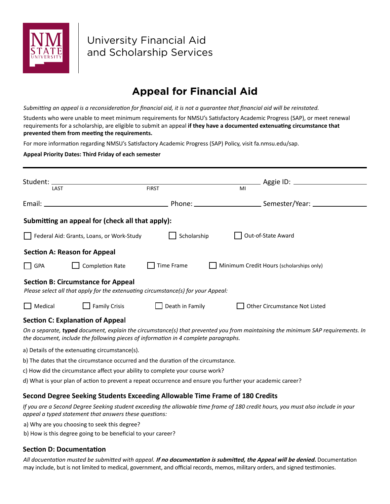

University Financial Aid and Scholarship Services

# **Appeal for Financial Aid**

*Submitting an appeal is a reconsideration for financial aid, it is not a guarantee that financial aid will be reinstated.*

Students who were unable to meet minimum requirements for NMSU's Satisfactory Academic Progress (SAP), or meet renewal requirements for a scholarship, are eligible to submit an appeal **if they have a documented extenuating circumstance that prevented them from meeting the requirements.** 

For more information regarding NMSU's Satisfactory Academic Progress (SAP) Policy, visit fa.nmsu.edu/sap.

#### **Appeal Priority Dates: Third Friday of each semester**

| LAST    |                                                  | <b>FIRST</b>                                                                        | MI                                                                                                                              |  |
|---------|--------------------------------------------------|-------------------------------------------------------------------------------------|---------------------------------------------------------------------------------------------------------------------------------|--|
|         |                                                  |                                                                                     |                                                                                                                                 |  |
|         | Submitting an appeal for (check all that apply): |                                                                                     |                                                                                                                                 |  |
|         | Federal Aid: Grants, Loans, or Work-Study        | Scholarship                                                                         | Out-of-State Award                                                                                                              |  |
|         | <b>Section A: Reason for Appeal</b>              |                                                                                     |                                                                                                                                 |  |
| GPA     | <b>Completion Rate</b>                           | Time Frame                                                                          | Minimum Credit Hours (scholarships only)                                                                                        |  |
|         | <b>Section B: Circumstance for Appeal</b>        | Please select all that apply for the extenuating circumstance(s) for your Appeal:   |                                                                                                                                 |  |
| Medical | <b>Family Crisis</b>                             | $\Box$ Death in Family                                                              | Other Circumstance Not Listed                                                                                                   |  |
|         | <b>Section C: Explanation of Appeal</b>          | the document, include the following pieces of information in 4 complete paragraphs. | On a separate, typed document, explain the circumstance(s) that prevented you from maintaining the minimum SAP requirements. In |  |

- a) Details of the extenuating circumstance(s).
- b) The dates that the circumstance occurred and the duration of the circumstance.
- c) How did the circumstance affect your ability to complete your course work?
- d) What is your plan of action to prevent a repeat occurrence and ensure you further your academic career?

## **Second Degree Seeking Students Exceeding Allowable Time Frame of 180 Credits**

*If you are a Second Degree Seeking student exceeding the allowable time frame of 180 credit hours, you must also include in your appeal a typed statement that answers these questions:*

- a) Why are you choosing to seek this degree?
- b) How is this degree going to be beneficial to your career?

## **Section D: Documentation**

*All docuentation musted be submitted with appeal.* **If no documentation is submitted, the Appeal will be denied.** Documentation may include, but is not limited to medical, government, and official records, memos, military orders, and signed testimonies.